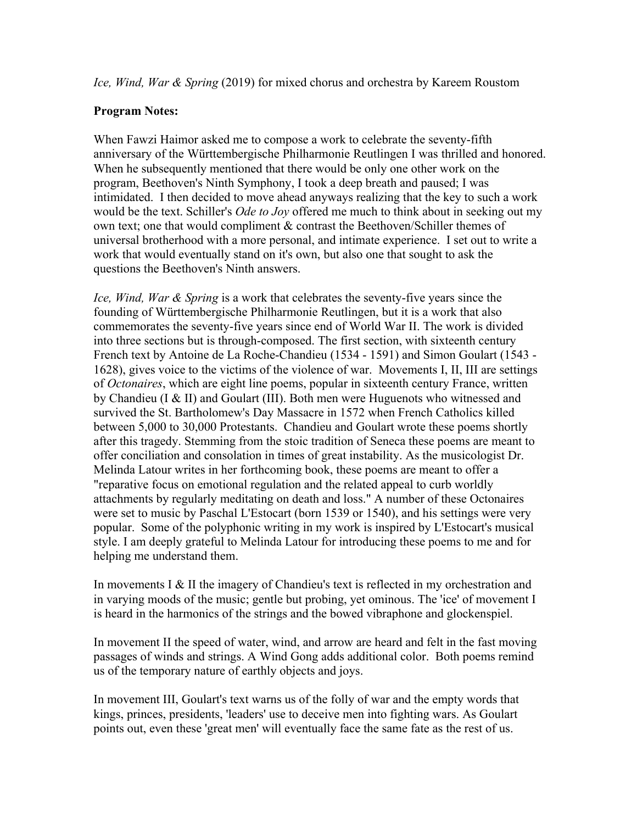*Ice, Wind, War & Spring* (2019) for mixed chorus and orchestra by Kareem Roustom

## **Program Notes:**

When Fawzi Haimor asked me to compose a work to celebrate the seventy-fifth anniversary of the Württembergische Philharmonie Reutlingen I was thrilled and honored. When he subsequently mentioned that there would be only one other work on the program, Beethoven's Ninth Symphony, I took a deep breath and paused; I was intimidated. I then decided to move ahead anyways realizing that the key to such a work would be the text. Schiller's *Ode to Joy* offered me much to think about in seeking out my own text; one that would compliment & contrast the Beethoven/Schiller themes of universal brotherhood with a more personal, and intimate experience. I set out to write a work that would eventually stand on it's own, but also one that sought to ask the questions the Beethoven's Ninth answers.

*Ice, Wind, War & Spring* is a work that celebrates the seventy-five years since the founding of Württembergische Philharmonie Reutlingen, but it is a work that also commemorates the seventy-five years since end of World War II. The work is divided into three sections but is through-composed. The first section, with sixteenth century French text by Antoine de La Roche-Chandieu (1534 - 1591) and Simon Goulart (1543 - 1628), gives voice to the victims of the violence of war. Movements I, II, III are settings of *Octonaires*, which are eight line poems, popular in sixteenth century France, written by Chandieu (I & II) and Goulart (III). Both men were Huguenots who witnessed and survived the St. Bartholomew's Day Massacre in 1572 when French Catholics killed between 5,000 to 30,000 Protestants. Chandieu and Goulart wrote these poems shortly after this tragedy. Stemming from the stoic tradition of Seneca these poems are meant to offer conciliation and consolation in times of great instability. As the musicologist Dr. Melinda Latour writes in her forthcoming book, these poems are meant to offer a "reparative focus on emotional regulation and the related appeal to curb worldly attachments by regularly meditating on death and loss." A number of these Octonaires were set to music by Paschal L'Estocart (born 1539 or 1540), and his settings were very popular. Some of the polyphonic writing in my work is inspired by L'Estocart's musical style. I am deeply grateful to Melinda Latour for introducing these poems to me and for helping me understand them.

In movements I & II the imagery of Chandieu's text is reflected in my orchestration and in varying moods of the music; gentle but probing, yet ominous. The 'ice' of movement I is heard in the harmonics of the strings and the bowed vibraphone and glockenspiel.

In movement II the speed of water, wind, and arrow are heard and felt in the fast moving passages of winds and strings. A Wind Gong adds additional color. Both poems remind us of the temporary nature of earthly objects and joys.

In movement III, Goulart's text warns us of the folly of war and the empty words that kings, princes, presidents, 'leaders' use to deceive men into fighting wars. As Goulart points out, even these 'great men' will eventually face the same fate as the rest of us.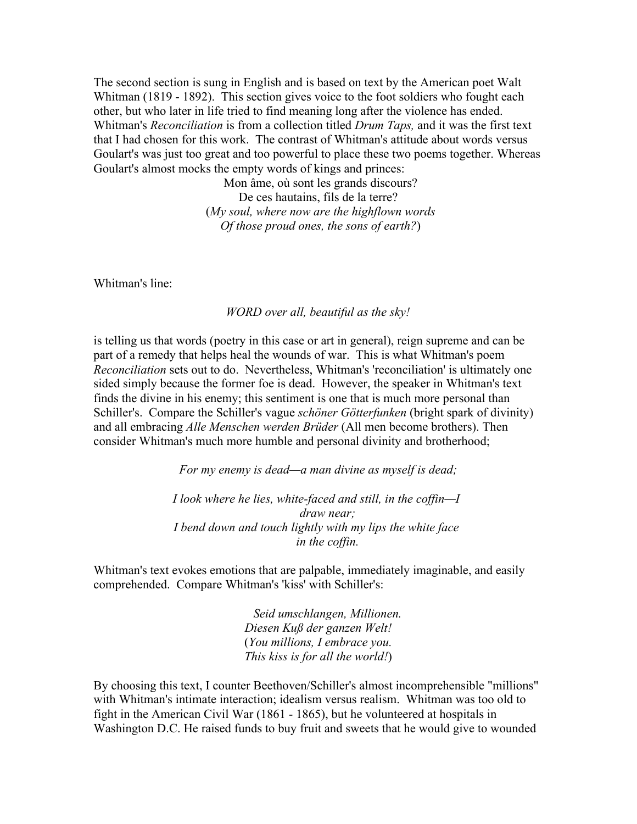The second section is sung in English and is based on text by the American poet Walt Whitman (1819 - 1892). This section gives voice to the foot soldiers who fought each other, but who later in life tried to find meaning long after the violence has ended. Whitman's *Reconciliation* is from a collection titled *Drum Taps,* and it was the first text that I had chosen for this work. The contrast of Whitman's attitude about words versus Goulart's was just too great and too powerful to place these two poems together. Whereas Goulart's almost mocks the empty words of kings and princes:

> Mon âme, où sont les grands discours? De ces hautains, fils de la terre? (*My soul, where now are the highflown words Of those proud ones, the sons of earth?*)

Whitman's line:

*WORD over all, beautiful as the sky!*

is telling us that words (poetry in this case or art in general), reign supreme and can be part of a remedy that helps heal the wounds of war. This is what Whitman's poem *Reconciliation* sets out to do. Nevertheless, Whitman's 'reconciliation' is ultimately one sided simply because the former foe is dead. However, the speaker in Whitman's text finds the divine in his enemy; this sentiment is one that is much more personal than Schiller's. Compare the Schiller's vague *schöner Götterfunken* (bright spark of divinity) and all embracing *Alle Menschen werden Brüder* (All men become brothers). Then consider Whitman's much more humble and personal divinity and brotherhood;

*For my enemy is dead—a man divine as myself is dead;*

*I look where he lies, white-faced and still, in the coffin—I draw near; I bend down and touch lightly with my lips the white face in the coffin.*

Whitman's text evokes emotions that are palpable, immediately imaginable, and easily comprehended. Compare Whitman's 'kiss' with Schiller's:

> *Seid umschlangen, Millionen. Diesen Kuß der ganzen Welt!* (*You millions, I embrace you. This kiss is for all the world!*)

By choosing this text, I counter Beethoven/Schiller's almost incomprehensible "millions" with Whitman's intimate interaction; idealism versus realism. Whitman was too old to fight in the American Civil War (1861 - 1865), but he volunteered at hospitals in Washington D.C. He raised funds to buy fruit and sweets that he would give to wounded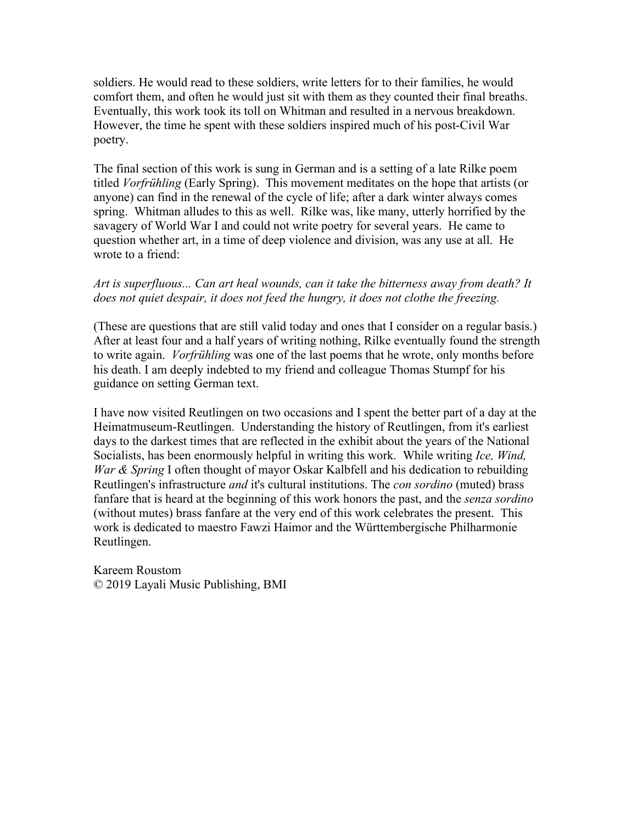soldiers. He would read to these soldiers, write letters for to their families, he would comfort them, and often he would just sit with them as they counted their final breaths. Eventually, this work took its toll on Whitman and resulted in a nervous breakdown. However, the time he spent with these soldiers inspired much of his post-Civil War poetry.

The final section of this work is sung in German and is a setting of a late Rilke poem titled *Vorfrühling* (Early Spring). This movement meditates on the hope that artists (or anyone) can find in the renewal of the cycle of life; after a dark winter always comes spring. Whitman alludes to this as well. Rilke was, like many, utterly horrified by the savagery of World War I and could not write poetry for several years. He came to question whether art, in a time of deep violence and division, was any use at all. He wrote to a friend:

## *Art is superfluous... Can art heal wounds, can it take the bitterness away from death? It does not quiet despair, it does not feed the hungry, it does not clothe the freezing.*

(These are questions that are still valid today and ones that I consider on a regular basis.) After at least four and a half years of writing nothing, Rilke eventually found the strength to write again. *Vorfrühling* was one of the last poems that he wrote, only months before his death. I am deeply indebted to my friend and colleague Thomas Stumpf for his guidance on setting German text.

I have now visited Reutlingen on two occasions and I spent the better part of a day at the Heimatmuseum-Reutlingen. Understanding the history of Reutlingen, from it's earliest days to the darkest times that are reflected in the exhibit about the years of the National Socialists, has been enormously helpful in writing this work. While writing *Ice, Wind, War & Spring* I often thought of mayor Oskar Kalbfell and his dedication to rebuilding Reutlingen's infrastructure *and* it's cultural institutions. The *con sordino* (muted) brass fanfare that is heard at the beginning of this work honors the past, and the *senza sordino* (without mutes) brass fanfare at the very end of this work celebrates the present. This work is dedicated to maestro Fawzi Haimor and the Württembergische Philharmonie Reutlingen.

Kareem Roustom © 2019 Layali Music Publishing, BMI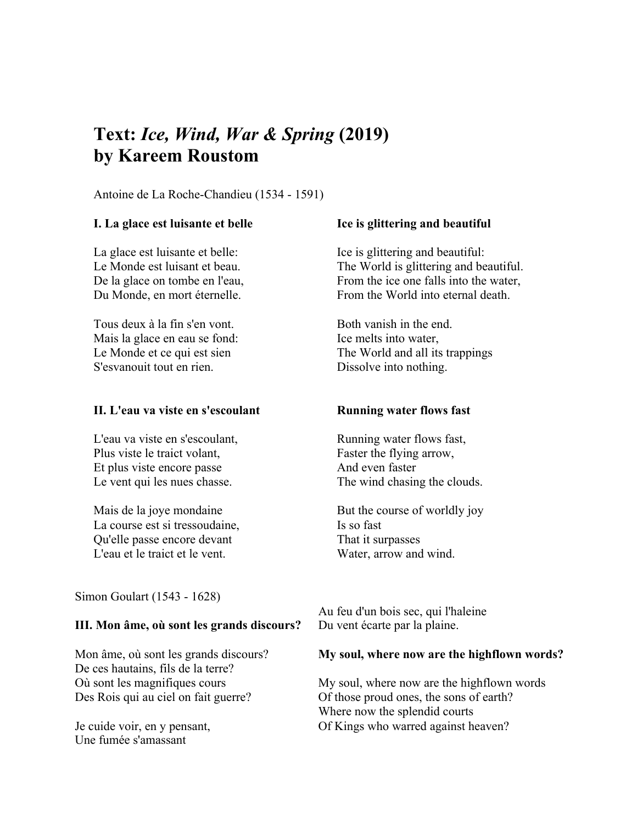# **Text:** *Ice, Wind, War & Spring* **(2019) by Kareem Roustom**

Antoine de La Roche-Chandieu (1534 - 1591)

### **I. La glace est luisante et belle**

La glace est luisante et belle: Le Monde est luisant et beau. De la glace on tombe en l'eau, Du Monde, en mort éternelle.

Tous deux à la fin s'en vont. Mais la glace en eau se fond: Le Monde et ce qui est sien S'esvanouit tout en rien.

#### **II. L'eau va viste en s'escoulant**

L'eau va viste en s'escoulant, Plus viste le traict volant, Et plus viste encore passe Le vent qui les nues chasse.

Mais de la joye mondaine La course est si tressoudaine, Qu'elle passe encore devant L'eau et le traict et le vent.

Simon Goulart (1543 - 1628)

### **III. Mon âme, où sont les grands discours?**

Mon âme, où sont les grands discours? De ces hautains, fils de la terre? Où sont les magnifiques cours Des Rois qui au ciel on fait guerre?

Je cuide voir, en y pensant, Une fumée s'amassant

### **Ice is glittering and beautiful**

Ice is glittering and beautiful: The World is glittering and beautiful. From the ice one falls into the water, From the World into eternal death.

Both vanish in the end. Ice melts into water, The World and all its trappings Dissolve into nothing.

#### **Running water flows fast**

Running water flows fast, Faster the flying arrow, And even faster The wind chasing the clouds.

But the course of worldly joy Is so fast That it surpasses Water, arrow and wind.

Au feu d'un bois sec, qui l'haleine Du vent écarte par la plaine.

#### **My soul, where now are the highflown words?**

My soul, where now are the highflown words Of those proud ones, the sons of earth? Where now the splendid courts Of Kings who warred against heaven?